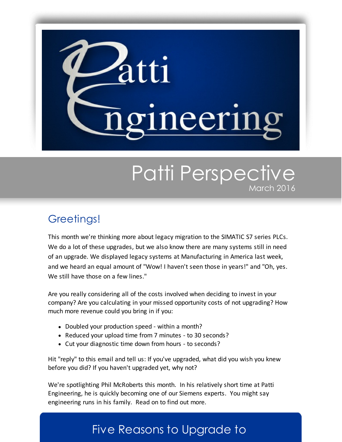# atti neeri

# Patti Perspective March 2016

## Greetings!

This month we're thinking more about legacy migration to the SIMATIC S7 series PLCs. We do a lot of these upgrades, but we also know there are many systems still in need of an upgrade. We displayed legacy systems at Manufacturing in America last week, and we heard an equal amount of "Wow! I haven't seen those in years!" and "Oh, yes. We still have those on a few lines."

Are you really considering all of the costs involved when deciding to invest in your company? Are you calculating in your missed opportunity costs of not upgrading? How much more revenue could you bring in if you:

- Doubled your production speed within a month?
- Reduced your upload time from 7 minutes to 30 seconds?
- Cut your diagnostic time down from hours to seconds?

Hit "reply" to this email and tell us: If you've upgraded, what did you wish you knew before you did? If you haven't upgraded yet, why not?

We're spotlighting Phil McRoberts this month. In his relatively short time at Patti Engineering, he is quickly becoming one of our Siemens experts. You might say engineering runs in his family. Read on to find out more.

# Five Reasons to Upgrade to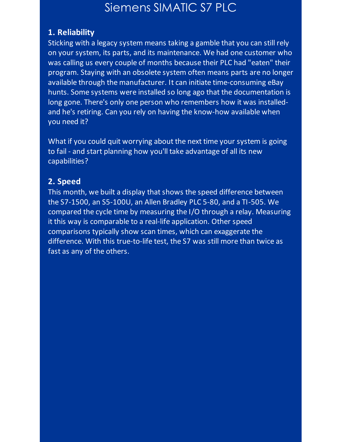## Siemens SIMATIC S7 PLC

## **1. Reliability**

Sticking with a legacy system means taking a gamble that you can still rely on your system, its parts, and its maintenance. We had one customer who was calling us every couple of months because their PLC had "eaten" their program. Staying with an obsolete system often means parts are no longer available through the manufacturer. It can initiate time-consuming eBay hunts. Some systems were installed so long ago that the documentation is long gone. There's only one person who remembers how it was installedand he's retiring. Can you rely on having the know-how available when you need it?

What if you could quit worrying about the next time your system is going to fail - and start planning how you'll take advantage of all its new capabilities?

## **2. Speed**

This month, we built a display that shows the speed difference between the S7-1500, an S5-100U, an Allen Bradley PLC 5-80, and a TI-505. We compared the cycle time by measuring the I/O through a relay. Measuring it this way is comparable to a real-life application. Other speed comparisons typically show scan times, which can exaggerate the difference. With this true-to-life test, the S7 was still more than twice as fast as any of the others.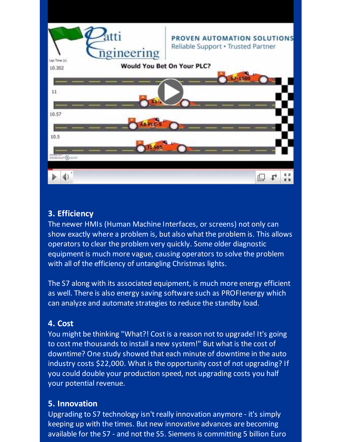

#### **3. Efficiency**

The newer HMIs (Human Machine Interfaces, or screens) not only can show exactly where a problem is, but also what the problem is. This allows operators to clear the problem very quickly. Some older diagnostic equipment is much more vague, causing operators to solve the problem with all of the efficiency of untangling Christmas lights.

The S7 along with its associated equipment, is much more energy efficient as well. There is also energy saving software such as PROFIenergy which can analyze and automate strategies to reduce the standby load.

## **4. Cost**

You might be thinking "What?! Cost is a reason not to upgrade! It's going to cost me thousands to install a new system!" But what is the cost of downtime? One study showed that each minute of downtime in the auto industry costs \$22,000. What is the opportunity cost of not upgrading? If you could double your production speed, not upgrading costs you half your potential revenue.

## **5. Innovation**

Upgrading to S7 technology isn't really innovation anymore - it's simply keeping up with the times. But new innovative advances are becoming available for the S7 - and not the S5. Siemens is committing 5 billion Euro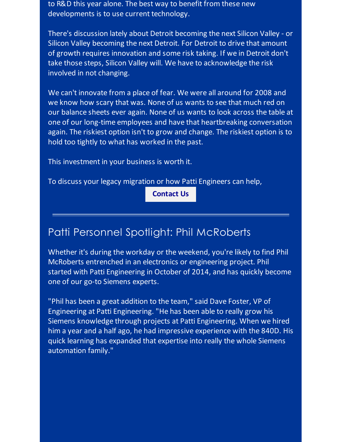to R&D this year alone. The best way to benefit from these new developments is to use current technology.

There's discussion lately about Detroit becoming the next Silicon Valley - or Silicon Valley becoming the next Detroit. For Detroit to drive that amount of growth requires innovation and some risk taking. If we in Detroit don't take those steps, Silicon Valley will. We have to acknowledge the risk involved in not changing.

We can't innovate from a place of fear. We were all around for 2008 and we know how scary that was. None of us wants to see that much red on our balance sheets ever again. None of us wants to look across the table at one of our long-time employees and have that heartbreaking conversation again. The riskiest option isn't to grow and change. The riskiest option is to hold too tightly to what has worked in the past.

This investment in your business is worth it.

To discuss your legacy migration or how Patti Engineers can help,

**[Contact](http://pattiengineering.com/contact/?utm_source=Patti+Perspective_March_2016&utm_campaign=Newsletter+March+2016&utm_medium=email) Us**

## Patti Personnel Spotlight: Phil McRoberts

Whether it's during the workday or the weekend, you're likely to find Phil McRoberts entrenched in an electronics or engineering project. Phil started with Patti Engineering in October of 2014, and has quickly become one of our go-to Siemens experts.

"Phil has been a great addition to the team," said Dave Foster, VP of Engineering at Patti Engineering. "He has been able to really grow his Siemens knowledge through projects at Patti Engineering. When we hired him a year and a half ago, he had impressive experience with the 840D. His quick learning has expanded that expertise into really the whole Siemens automation family."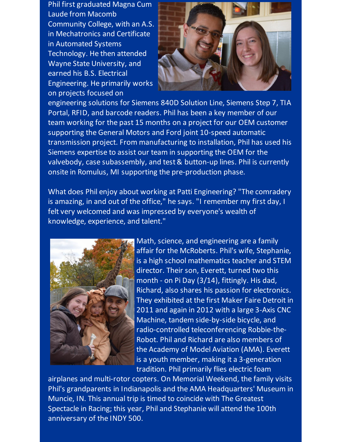Phil first graduated Magna Cum Laude from Macomb Community College, with an A.S. in Mechatronics and Certificate in Automated Systems Technology. He then attended Wayne State University, and earned his B.S. Electrical Engineering. He primarily works on projects focused on



engineering solutions for Siemens 840D Solution Line, Siemens Step 7, TIA Portal, RFID, and barcode readers. Phil has been a key member of our team working for the past 15 months on a project for our OEM customer supporting the General Motors and Ford joint 10-speed automatic transmission project. From manufacturing to installation, Phil has used his Siemens expertise to assist our team in supporting the OEM for the valvebody, case subassembly, and test & button-up lines. Phil is currently onsite in Romulus, MI supporting the pre-production phase.

What does Phil enjoy about working at Patti Engineering? "The comradery is amazing, in and out of the office," he says. "I remember my first day, I felt very welcomed and was impressed by everyone's wealth of knowledge, experience, and talent."



Math, science, and engineering are a family affair for the McRoberts. Phil's wife, Stephanie, is a high school mathematics teacher and STEM director. Their son, Everett, turned two this month - on Pi Day (3/14), fittingly. His dad, Richard, also shares his passion for electronics. They exhibited at the first Maker Faire Detroit in 2011 and again in 2012 with a large 3-Axis CNC Machine, tandem side-by-side bicycle, and radio-controlled teleconferencing Robbie-the-Robot. Phil and Richard are also members of the Academy of Model Aviation (AMA). Everett is a youth member, making it a 3-generation tradition. Phil primarily flies electric foam

airplanes and multi-rotor copters. On Memorial Weekend, the family visits Phil's grandparents in Indianapolis and the AMA Headquarters' Museum in Muncie, IN. This annual trip is timed to coincide with The Greatest Spectacle in Racing; this year, Phil and Stephanie will attend the 100th anniversary of the INDY 500.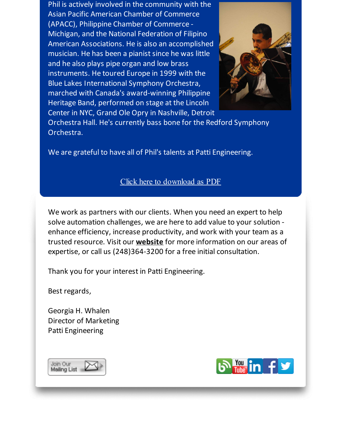Phil is actively involved in the community with the Asian Pacific American Chamber of Commerce (APACC), Philippine Chamber of Commerce - Michigan, and the National Federation of Filipino American Associations. He is also an accomplished musician. He has been a pianist since he was little and he also plays pipe organ and low brass instruments. He toured Europe in 1999 with the Blue Lakes International Symphony Orchestra, marched with Canada's award-winning Philippine Heritage Band, performed on stage at the Lincoln Center in NYC, Grand Ole Opry in Nashville, Detroit



Orchestra Hall. He's currently bass bone for the Redford Symphony Orchestra.

We are grateful to have all of Phil's talents at Patti Engineering.

#### Click here to [download](http://files.ctctcdn.com/59cb3837001/ca4f784b-47d8-4cc3-9de5-634fd23b1d40.pdf?utm_source=Patti+Perspective_March_2016&utm_campaign=Newsletter+March+2016&utm_medium=email) as PDF

We work as partners with our clients. When you need an expert to help solve automation challenges, we are here to add value to your solution enhance efficiency, increase productivity, and work with your team as a trusted resource. Visit our **[website](http://www.pattieng.com/?utm_source=Patti+Perspective_March_2016&utm_campaign=Newsletter+March+2016&utm_medium=email)** for more information on our areas of expertise, or call us (248)364-3200 for a free initial consultation.

Thank you for your interest in Patti Engineering.

Best regards,

Georgia H. Whalen Director of Marketing Patti Engineering



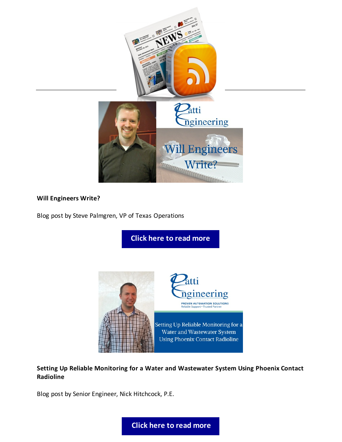

#### **Will Engineers Write?**

Blog post by Steve Palmgren, VP of Texas Operations

**Click here to read [more](http://pattiengineering.com/blog/will-engineers-write/?utm_source=Patti+Perspective_March_2016&utm_campaign=Newsletter+March+2016&utm_medium=email)**



**Setting Up Reliable Monitoring for a Water and Wastewater System Using Phoenix Contact Radioline**

Blog post by Senior Engineer, Nick Hitchcock, P.E.

**Click here to read [more](http://pattiengineering.com/blog/setting-up-reliable-monitoring-for-a-water-and-wastewater-system-using-phoenix-contact-radioline/?utm_source=Patti+Perspective_March_2016&utm_campaign=Newsletter+March+2016&utm_medium=email)**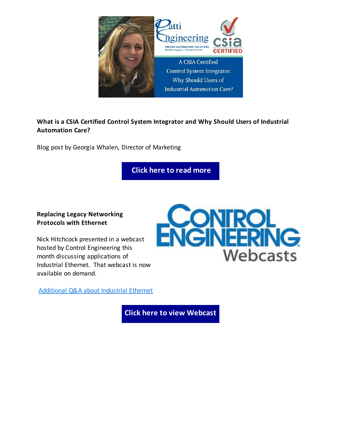

#### **What is a CSIA Certified Control System Integrator and Why Should Users of Industrial Automation Care?**

Blog post by Georgia Whalen, Director of Marketing

**Click here to read [more](http://pattiengineering.com/blog/csia-certified-why-should-users-of-industrial-automation-care/?utm_source=Patti+Perspective_March_2016&utm_campaign=Newsletter+March+2016&utm_medium=email)**

#### **Replacing Legacy Networking Protocols with Ethernet**

Nick Hitchcock presented in a webcast hosted by Control Engineering this month discussing applications of Industrial Ethernet. That webcast is now available on demand.



[Additional](http://www.controleng.com/single-article/replacing-legacy-networking-protocols-with-ethernet-webcast-questions-answered/3c24433c0d4746c340d2eb4be3c817c6.html?utm_source=Patti+Perspective_March_2016&utm_campaign=Newsletter+March+2016&utm_medium=email) Q&A about Industrial Ethernet

**Click here to view [Webcast](http://www.controleng.com/media-library/webcasts/2016-webcasts/31016-webcast.html?utm_source=Patti+Perspective_March_2016&utm_campaign=Newsletter+March+2016&utm_medium=email)**